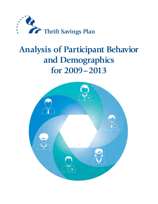

# **Analysis of Participant Behavior and Demographics for 2009 – 2013**

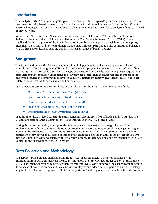### **Introduction**

This analysis of Thrift Savings Plan (TSP) participant demographics prepared by the Federal Retirement Thrift Investment Board is based on participant data enhanced with additional indicative data from the Office of Personnel Management (OPM). The analysis of calendar year 2013 data is similar to analyses of data conducted in previous years.

As with the 2012 report, the 2013 analysis focuses solely on participants in FERS, the Federal Employee Retirement System, as the participant population in the Civil Service Retirement System (CSRS) is a very small and declining segment of the TSP. Information from this analysis provides insight on demographics, investment behaviors, and how plan design changes may influence participation and contribution behaviors. Finally, this analysis helps us identify trends in participant usage of benefit options.

### **Background**

The Federal Retirement Thrift Investment Board is an independent Federal agency that was established to administer the Thrift Savings Plan (TSP) under the Federal Employees' Retirement System Act of 1986. (See 5 U.S.C. §§ 8351; 8401 et seq.) Similar to the type of savings and tax benefits that many private corporations offer their employees under 401(k) plans, the TSP provides Federal civilian employees and members of the uniformed services the opportunity to save for additional retirement security. The Agency's mission is to act solely in the interest of its participants and beneficiaries.

TSP participants can invest their employee and employer contributions in the following core funds:

- Government Securities Investment Fund (G Fund)
- Fixed Income Index Investment Fund (F Fund)
- Common Stock Index Investment Fund (C Fund)
- Small Cap Stock Index Investment Fund (S Fund)
- International Stock Index Investment Fund (I Fund)

In addition to these indexed core funds, participants may also invest in five Lifecycle Funds (L Funds). The L Funds are custom target-date funds invested exclusively in the G, F, C, S, and I Funds.

During the period covered by this report, the TSP underwent three major plan design changes. The implementation of immediate contributions occurred in June 2009, automatic enrollment began in August 2010, and the acceptance of Roth contributions commenced in May 2012. The impact of these changes on participant behavior will be discussed in this analysis. It should be noted that this is the first report to delve into participant behaviors associated with Roth contributions, as there was not sufficient experience with Roth to include any observations in the 2012 report.

### Data Collection and Methodology

This report is based on data extracted from the TSP recordkeeping system, which was enhanced with information from OPM. In each year covered by this report, the TSP provided extract data on the accounts of all TSP participants identified as active civilian Federal employees. OPM enhanced the data by comparing it to its database of executive branch and Postal Service employees and added data on participants' annual salary, length of Federal service, employment (full-time vs. part-time) status, gender, race and ethnicity, and education.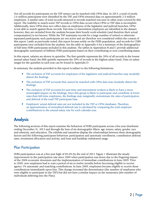Not all records for participants on the TSP extract can be matched with OPM data. In 2013, a total of nearly 2.6 million participants were identified by the TSP, and OPM returned data on approximately 2.4 million employees. A similar ratio of total records extracted to records matched was seen in other years covered by this report. The inability to match some TSP records to OPM data occurs when OPM or TSP data is incomplete. Additionally, since OPM does not collect data on employees of the legislative and judicial branches, OPM is not able to match against those records. Part-time or intermittent employees are identified in the dataset; however, they are excluded from the analysis because their hourly work schedule (and therefore their actual compensation) is not known. While the TSP maintains records for a large number of retired or otherwise separated participants, such participants are not active and are therefore not considered within the context of this report. Lastly as previously noted, this report focuses solely on the FERS population, and records for CSRS participants were excluded from the analysis. See the table in Appendix A for a summary of the demographics of full-time FERS participants included in this analysis. The tables in Appendices B and C provide additional demographic summaries of fulltime FERS participants based on their contributing or non-contributing status.

In this report, salaries are shown in quintiles. The first quintile represents the 20% of all records in the lowest annual salary band; the fifth quintile represents the 20% of records in the highest salary band. Data on salary ranges for the quintiles in each year can be found in Appendix D.

In summary, the analysis provided in this report is subject to the following limitations:

- The exclusion of TSP accounts for employees of the legislative and judicial branches may modestly distort the findings.
- The exclusion of TSP accounts that cannot be matched with OPM data may modestly distort the findings.
- The exclusion of TSP accounts for part-time and intermittent workers is likely to have a more meaningful impact on the findings. Since this group is likely to participate and contribute at lower rates than full-time employees, the findings may marginally overestimate the rates of participation and deferral of the total TSP participant base.
- Employees' actual deferral rates are not included in the TSP or OPM databases. Therefore, an approximation of annualized deferral rate is calculated by comparing the total employee contributions to the annual salary rate for each calendar year.

### **Analysis**

The following sections of this report examine the behaviors of FERS participants across a five-year timeframe ending December 31, 2013 and through the lens of six demographic filters: age, tenure, salary, gender, race and ethnicity, and education. The exhibits and narratives display the relationships between these demographic factors and the following participant behaviors: participation and automatic enrollment, contribution deferral rates, investment allocation and activity, and loan and hardship withdrawal usage.

#### Plan Participation

FERS participation was at a five-year high of 89.6% by the end of 2013. Figure 1 illustrates the steady improvement in the participation rate since 2009 when participation was down due to the lingering impact of the 2008 economic downturn and the implementation of immediate contributions in June 2009. Prior to 2009, new employees had to wait a period of six to twelve months before becoming eligible to receive agency 1% automatic and matching contributions. In June 2009, employees became eligible to receive these contributions immediately upon hire. This change increased the denominator (the number of employees who were eligible to participate in the TSP) but did not have a similar impact on the numerator (the number of individuals deferring into the Plan).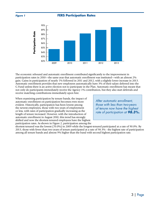**FIGURE 1 FERS Participation Rates** 



The economic rebound and automatic enrollment contributed significantly to the improvement in participation rates in 2010—the same year that automatic enrollment was instituted—with an almost 2% gain. Gains in participation of nearly 1% followed in 2011 and 2012, with a slightly lower increase in 2013. Automatic enrollment provides that new employees automatically have 3% of their salary deferred into the G Fund unless there is an active election not to participate in the Plan. Automatic enrollment has meant that not only do participants immediately receive the Agency 1% contribution, but they also start deferrals and receive matching contributions immediately upon hire.

When examining participation by tenure bands, the impact of automatic enrollment on participation becomes even more evident. Historically, participation has been lowest among the newest employees, those with two years of employment or less, with rates of participation gradually increasing as the length of tenure increased. However, with the introduction of automatic enrollment in August 2010, this trend has strongly shifted and now the shortest-tenured employees have the highest participation rates. As shown in Figure 2, participation among the

*After automatic enrollment, those with less than two-years of tenure now have the highest rate of participation at 98.3%.*

shortest-tenured was the lowest (70.0%) in 2009 while the longest-tenured participated at a rate of 90.0%. By 2013, those with fewer than two years of tenure participated at a rate of 98.3% - the highest rate of participation among all tenure bands and almost 9% higher than the band with second highest participation rate.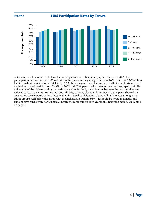

Automatic enrollment seems to have had varying effects on other demographic cohorts. In 2009, the participation rate for the under-29 cohort was the lowest among all age cohorts at 78%, while the 60-69 cohort had the highest participation at 88.4%. By 2013, the youngest cohort had surpassed all other cohorts and had the highest rate of participation: 93.3%. In 2009 and 2010, participation rates among the lowest-paid quintile trailed that of the highest paid by approximately 20%. By 2013, the difference between the two quintiles was reduced to less than 12%. Among race and ethnicity cohorts, blacks and multiracial participants showed the greatest increase in participation. Despite their increased participation, blacks still rank lowest among racial/ ethnic groups, well below the group with the highest rate (Asians, 95%). It should be noted that males and females have consistently participated at nearly the same rate for each year in this reporting period. See Table 1 on page 5.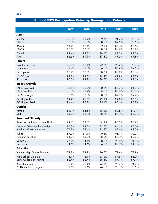### **Annual FERS Participation Rates by Demographic Cohorts**

|                                   | 2009  | 2010  | 2011  | 2012  | 2013  |
|-----------------------------------|-------|-------|-------|-------|-------|
| <b>Age</b>                        |       |       |       |       |       |
| $= 29$                            | 78.0% | 83.9% | 89.1% | 91.7% | 93.3% |
| $30 - 39$                         | 83.3% | 85.7% | 88.2% | 89.5% | 90.5% |
| $40 - 49$                         | 84.9% | 86.1% | 87.1% | 87.6% | 88.0% |
| 50-59                             | 87.1% | 88.0% | 88.5% | 88.7% | 88.9% |
| $60 - 69$                         | 88.4% | 89.0% | 89.1% | 89.1% | 89.1% |
| $70+$                             | 86.6% | 87.1% | 87.3% | 87.5% | 87.8% |
| <b>Tenure</b>                     |       |       |       |       |       |
| Less than 2 years                 | 70.0% | 82.1% | 92.6% | 98.2% | 98.3% |
| $2-5$ years                       | 81.9% | 83.3% | 84.2% | 86.7% | 89.5% |
| 6-10 years                        | 85.9% | 86.8% | 88.0% | 87.9% | 87.6% |
| $11-20$ years                     | 88.1% | 88.0% | 88.2% | 87.8% | 87.7% |
| $21 + years$                      | 90.0% | 89.9% | 89.7% | 89.5% | 89.5% |
| <b>Salary Quintile</b>            |       |       |       |       |       |
| Q1 Lowest Paid                    | 71.1% | 76.2% | 80.6% | 82.7% | 84.3% |
| Q2 Lower Paid                     | 82.3% | 83.4% | 83.8% | 83.6% | 83.8% |
| Q3 Mid-Range                      | 86.5% | 87.3% | 88.3% | 89.0% | 89.4% |
| Q4 Higher Paid                    | 89.9% | 91.3% | 92.4% | 92.8% | 93.1% |
| Q5 Highest Paid                   | 94.4% | 95.1% | 95.4% | 95.6% | 95.7% |
| Gender                            |       |       |       |       |       |
| Female                            | 84.7% | 86.6% | 88.0% | 88.6% | 89.1% |
| Male                              | 85.0% | 86.7% | 88.2% | 88.9% | 89.3% |
| <b>Race and Ethnicity</b>         |       |       |       |       |       |
| American Indian or Native Alaskan | 79.3% | 82.0% | 84.2% | 85.3% | 85.7% |
| Asian or Other Pacific Islander   | 90.3% | 92.2% | 93.7% | 94.5% | 95.0% |
| <b>Black or African American</b>  | 76.7% | 79.6% | 81.9% | 82.6% | 83.3% |
| White                             | 87.0% | 89.1% | 90.8% | 91.7% | 92.3% |
| Hispanic or Latino                | 84.0% | 86.0% | 88.0% | 88.9% | 89.4% |
| Multi-Racial                      | 77.7% | 84.1% | 88.2% | 90.0% | 91.0% |
| Unknown                           | 84.6% | 84.6% | 84.2% | 83.9% | 84.1% |
| <b>Education</b>                  |       |       |       |       |       |
| Without High School Diploma       | 73.7% | 73.7% | 76.7% | 77.4% | 77.8% |
| High School Diploma               | 78.1% | 78.1% | 83.2% | 84.5% | 85.0% |
| Some College or Training          | 82.4% | 82.4% | 86.3% | 87.1% | 87.7% |
| <b>Bachelor's Degree</b>          | 90.4% | 90.4% | 93.1% | 93.7% | 94.0% |
| Post-Bachelor's /Degree           | 91.5% | 91.6% | 94.6% | 95.1% | 95.5% |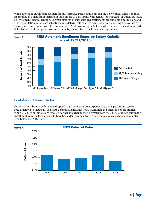While automatic enrollment has significantly increased participation among the newly hired, it has not, thus far, resulted in a significant increase in the number of participants who remain "unengaged" or otherwise make no investment/deferral election. The vast majority of auto-enrolled participants are remaining in the Plan, and of this population, 63.2% are actively making deferral rate changes, while others are showing signs of life by making interfund transfers or other transactions. As shown in Figure 3, those who remain in the auto-enrolled status (no deferral change or investment activity) are mostly in the lowest salary quintiles.





#### Contribution Deferral Rates

The FERS contribution deferral rate dropped to 8.2% in 2013 after experiencing a one percent increase in 2012 as shown in Figure 4. (The FERS deferral rate includes Roth, traditional and catch-up contributions). While 63.2% of automatically-enrolled participants change their deferrals from the 3% default rate, automatic enrollment, nevertheless, appears to have had a dampening effect on deferral rates as rates have consistently been below the 2009 high.

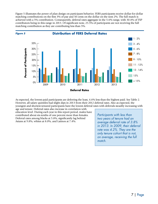Figure 5 illustrates the power of plan design on participant behavior. FERS participants receive dollar-for-dollar matching contributions on the first 3% of pay and 50 cents on the dollar on the next 2%. The full match is achieved with a 5% contribution. Consequently, deferral rates aggregate in the 5-6% range, with 30.4% of TSP contributors being in this range in 2013. Of significant note, 25.5% of participants are not receiving the full matching contribution as they are contributing less than 5%.



As expected, the lowest-paid participants are deferring the least, 4.6% less than the highest paid. See Table 2. However, all salary quintiles had slight dips in 2013 from their 2012 deferral rates. Also as expected, the youngest and shortest-tenured participants have the lowest deferral rates with deferrals steadily increasing with

age and tenure. Deferral rates also increase in correlation with education level. During each year in this report period, males have contributed about six-tenths of one percent more than females. Deferral rates among blacks at 5.8%, significantly lag behind Asians at 9.8%, whites at 8.0%, and Latinos at 7.4%.

*Participants with less than two years of tenure had an average deferral rate of 3.8% in 2013. In 2009, their deferral rate was 4.2%. They are the only tenure cohort that is not, on average, receiving the full match.*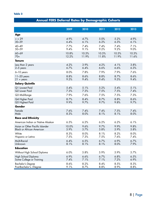### **Annual FERS Deferral Rates by Demographic Cohorts**

|                                   | 2009  | 2010  | 2011  | 2012  | 2013  |
|-----------------------------------|-------|-------|-------|-------|-------|
| Age                               |       |       |       |       |       |
| $= 29$                            | 4.9%  | 4.7%  | 5.0%  | 5.2%  | 4.9%  |
| $30 - 39$                         | 6.4%  | 6.1%  | 6.2%  | 6.3%  | 6.1%  |
| $40 - 49$                         | 7.7%  | 7.4%  | 7.4%  | 7.4%  | 7.1%  |
| 50-59                             | 9.4%  | 9.1%  | 9.2%  | 9.2%  | 9.0%  |
| $60 - 69$                         | 10.8% | 10.5% | 10.5% | 10.5% | 10.3% |
| $70+$                             | 12.2% | 11.9% | 11.8% | 11.9% | 11.6% |
| <b>Tenure</b>                     |       |       |       |       |       |
| Less than 2 years                 | 4.2%  | 3.9%  | 4.2%  | 4.1%  | 3.8%  |
| $2-5$ years                       | 6.7%  | 6.4%  | 6.6%  | 6.6%  | 6.3%  |
| 6-10 years                        | 8.0%  | 7.8%  | 7.9%  | 7.9%  | 7.6%  |
| $11-20$ years                     | 8.8%  | 8.6%  | 8.8%  | 8.7%  | 8.6%  |
| $21 + years$                      | 9.5%  | 9.4%  | 9.4%  | 9.5%  | 9.4%  |
| <b>Salary Quintile</b>            |       |       |       |       |       |
| Q1 Lowest Paid                    | 5.4%  | 5.1%  | 5.2%  | 5.4%  | 5.1%  |
| Q2 Lower Paid                     | 7.3%  | 7.3%  | 7.5%  | 7.5%  | 7.4%  |
| Q3 Mid-Range                      | 7.9%  | 7.6%  | 7.5%  | 7.5%  | 7.3%  |
| Q4 Higher Paid                    | 8.7%  | 8.4%  | 8.7%  | 8.8%  | 8.6%  |
| Q5 Highest Paid                   | 9.9%  | 9.7%  | 9.7%  | 9.8%  | 9.7%  |
| Gender                            |       |       |       |       |       |
| Female                            | 7.6%  | 7.4%  | 7.4%  | 7.5%  | 7.4%  |
| Male                              | 8.3%  | 8.0%  | 8.1%  | 8.1%  | 8.0%  |
| <b>Race and Ethnicity</b>         |       |       |       |       |       |
| American Indian or Native Alaskan | 6.5%  | 6.2%  | 6.2%  | 6.2%  | 6.1%  |
| Asian or Other Pacific Islander   | 10.0% | 9.6%  | 9.7%  | 9.9%  | 9.8%  |
| <b>Black or African American</b>  | 5.9%  | 5.7%  | 5.8%  | 5.9%  | 5.8%  |
| White                             | 8.3%  | 8.0%  | 8.1%  | 8.2%  | 8.0%  |
| Hispanic or Latino                | 7.5%  | 7.3%  | 7.5%  | 7.6%  | 7.4%  |
| Multi-Racial                      | 6.4%  | 6.5%  | 6.7%  | 6.9%  | 6.7%  |
| Unknown                           | 8.1%  | 8.1%  | 8.1%  | 8.0%  | 7.9%  |
| <b>Education</b>                  |       |       |       |       |       |
| Without High School Diploma       | 6.0%  | 5.8%  | 5.9%  | 5.9%  | 5.7%  |
| High School Diploma               | 6.9%  | 6.6%  | 6.7%  | 6.8%  | 6.5%  |
| Some College or Training          | 7.4%  | 7.1%  | 7.1%  | 7.2%  | 6.9%  |
| <b>Bachelor's Degree</b>          | 8.6%  | 8.2%  | 8.4%  | 8.5%  | 8.3%  |
| Post-Bachelor's /Degree           | 9.1%  | 8.7%  | 8.8%  | 8.9%  | 8.8%  |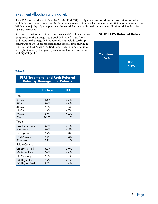#### Investment Allocation and Inactivity

Roth TSP was introduced in May 2012. With Roth TSP, paticipants make contributions from after-tax dollars, and their earnings on these contributions are tax-free at withdrawal as long as certain IRS requirements are met. While the majority of participants continue to defer only traditional (pre-tax) contributions, deferrals to Roth TSP are increasing.

For those contributing to Roth, their average deferrals were 4.4% as opposed to the average traditional deferral of 7.7%. (Roth and traditional average deferral rates do not include catch-up contributions which are reflected in the deferral rates shown in Figures 4 and 5.) As with the traditional TSP, Roth deferral rates are highest among older participants, as well as the most-tenured and highest-paid.

#### **2013 FERS Deferral Rates**



#### **Table 3**

#### **FERS Traditional and Roth Deferral Rates by Demographic Cohorts**

|                   | <b>Traditional</b> | <b>Roth</b> |
|-------------------|--------------------|-------------|
| Age               |                    |             |
| $\leq$ = 29       | 4.6%               | 3.5%        |
| $30 - 39$         | 5.8%               | 3.5%        |
| $40 - 49$         | 7.0%               | 3.5%        |
| 50-59             | 8.4%               | 4.2%        |
| 60-69             | 9.5%               | 5.6%        |
| $70+$             | 10.6%              | $6.1\%$     |
| Tenure            |                    |             |
| Less than 2 years | 3.4%               | 3.1%        |
| 2-5 years         | 6.0%               | 3.8%        |
| 6-10 years        | 7.2%               | 3.8%        |
| $11-20$ years     | 8.2%               | 4.0%        |
| $21 + years$      | 8.9%               | 4.2%        |
| Salary Quintile   |                    |             |
| Q1 Lowest Paid    | 5.0%               | 3.0%        |
| Q2 Lower Paid     | 7.2%               | 3.7%        |
| Q3 Mid-Range      | 7.0%               | 3.7%        |
| Q4 Higher Paid    | 8.2%               | 4.1%        |
| Q5 Highest Paid   | 9.1%               | 4.4%        |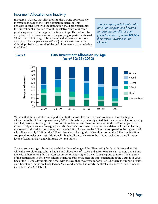#### Investment Allocation and Inactivity

In Figure 6, we note that allocations to the G Fund appropriately increase as the age of the TSP's population increases. This behavior is consistent with the expectation that participants shift their investment allocation toward the relative safety of incomeproducing assets as they approach retirement age. The noteworthy exception to this observation is in the grouping of participants aged 29 and under. In this age cohort, we note that participants invest a disproportionate percentage (43.6%) of their accounts in the G Fund, probably as a result of the default investment option being the G Fund.

*The youngest participants, who have the longest time horizon to reap the benefits of compounding returns, have 43.6% their assets invested in the G Fund.*



We note that the shortest-tenured participants, those with less than two years of tenure, have the highest allocation to the G Fund, approximately 57%. Although we previously noted that the majority of automatically enrolled participants changed their contribution deferral rate, this concentration in the G Fund suggests that these participants are not "engaging" and shifting their investments away from the default allocation. Further, the lowest-paid participants have approximately 55% allocated to the G Fund as compared to the highest paid who allocated only 27.5% to the G Fund. Females had a slightly higher allocation to the G Fund at 36.4% as compared to males at 32.8%. Additionally, blacks allocated 43.3% to the G Fund, well above the allocation levels of Asians at 32% and whites at 30%. See Table 4.

The two youngest age cohorts had the highest level of usage of the Lifecycle (L) funds, at 28.7% and 26.7%, while the two oldest age cohorts had L Fund allocations of 12.7% and 8.4%. We also want to note that L Fund usage is highest among the 2-5-years tenure cohort (26.4%) and the 6-10-years group (24.9%). The majority of the participants in these two cohorts began Federal service after the implementation of the L Funds in 2005. Use of the L Funds drops off somewhat with the less-than-two-years cohort (19.4%), where the impact of autoenrollment and inertia are likely factors. Males and females had nearly identical allocations to the L Funds at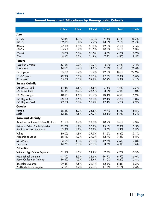### **Annual Investment Allocations by Demographic Cohorts**

|                                   | <b>G</b> Fund | <b>F</b> Fund | <b>C</b> Fund | <b>S</b> Fund | I Fund | <b>L</b> Funds |
|-----------------------------------|---------------|---------------|---------------|---------------|--------|----------------|
| <b>Age</b>                        |               |               |               |               |        |                |
| $= 29$                            | 43.6%         | 1.7%          | 10.4%         | 9.5%          | 6.1%   | 28.7%          |
| $30 - 39$                         | 29.1%         | 2.8%          | 19.0%         | 13.2%         | 9.1%   | 26.7%          |
| $40 - 49$                         | 27.1%         | 4.3%          | 30.9%         | 12.8%         | 7.5%   | 17.5%          |
| 50-59                             | 35.9%         | 5.2%          | 27.5%         | 10.5%         | 5.6%   | 15.3%          |
| 60-69                             | 43.7%         | 6.1%          | 24.0%         | 8.8%          | 4.7%   | 12.7%          |
| $70+$                             | 48.4%         | 6.2%          | 24.8%         | 7.9%          | 4.2%   | 8.4%           |
| <b>Tenure</b>                     |               |               |               |               |        |                |
| Less than 2 years                 | 57.2%         | 2.3%          | 10.2%         | 6.9%          | 3.9%   | 19.4%          |
| $2-5$ years                       | 43.9%         | 3.0%          | 11.6%         | 9.6%          | 5.6%   | 26.4%          |
| 6-10 years                        | 35.2%         | 3.4%          | 15.2%         | 12.7%         | 8.6%   | 24.9%          |
| $11-20$ years                     | 29.2%         | 5.3%          | 30.1%         | 12.3%         | 7.3%   | 15.8%          |
| $21 + years$                      | 35.5%         | 5.1%          | 29.7%         | 10.2%         | 5.3%   | 14.1%          |
| <b>Salary Quintile</b>            |               |               |               |               |        |                |
| Q1 Lowest Paid                    | 54.5%         | 3.6%          | 16.8%         | 7.5%          | 4.9%   | 12.7%          |
| Q2 Lower Paid                     | 45.3%         | 5.0%          | 25.5%         | 8.3%          | 4.8%   | 11.0%          |
| Q3 Mid-Range                      | 40.3%         | 4.6%          | 23.0%         | 10.1%         | 6.0%   | 15.9%          |
| Q4 Higher Paid                    | 33.2%         | 4.5%          | 24.2%         | 12.1%         | 7.0%   | 19.0%          |
| Q5 Highest Paid                   | 27.5%         | 5.1%          | 30.7%         | 12.1%         | 6.7%   | 17.9%          |
| Gender                            |               |               |               |               |        |                |
| Female                            | 36.4%         | 5.3%          | 26.6%         | 9.4%          | 5.7%   | 16.6%          |
| Male                              | 32.8%         | 4.6%          | 27.2%         | 12.1%         | 6.7%   | 16.7%          |
| <b>Race and Ethnicity</b>         |               |               |               |               |        |                |
| American Indian or Native Alaskan | 41.5%         | 4.4%          | 24.0%         | 10.2%         | 5.6%   | 14.3%          |
| Asian or Other Pacific Islander   | 32.0%         | 4.7%          | 26.7%         | 13.4%         | 7.8%   | 15.5%          |
| <b>Black or African American</b>  | 43.3%         | 4.7%          | 23.7%         | 9.5%          | 5.9%   | 12.9%          |
| White                             | 30.0%         | 4.8%          | 27.9%         | 11.6%         | 6.6%   | 19.1%          |
| Hispanic or Latino                | 36.1%         | 4.0%          | 24.3%         | 12.4%         | 7.3%   | 15.8%          |
| Multi-Racial                      | 33.6%         | 4.3%          | 22.0%         | 12.7%         | 7.5%   | 19.8%          |
| Unknown                           | 43.7%         | 5.3%          | 26.9%         | 8.7%          | 4.8%   | 10.5%          |
| <b>Education</b>                  |               |               |               |               |        |                |
| Without High School Diploma       | 51.4%         | 4.0%          | 21.9%         | 7.8%          | 4.7%   | 10.3%          |
| High School Diploma               | 41.1%         | 3.9%          | 21.6%         | 10.7%         | 6.5%   | 16.0%          |
| Some College or Training          | 39.4%         | 4.3%          | 23.4%         | 11.0%         | 6.2%   | 15.8%          |
| <b>Bachelor's Degree</b>          | 29.3%         | 4.6%          | 28.7%         | 12.3%         | 6.8%   | 18.3%          |
| Post-Bachelor's /Degree           | 27.6%         | 5.4%          | 29.3%         | 11.6%         | 6/8%   | 19.4%          |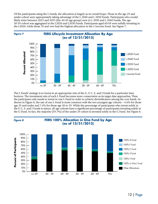Of the participants using the L Funds, the allocation is largely as we would hope. Those in the age 29 and under cohort were appropriately taking advantage of the L 2040 and L 2050 Funds. Participants who would likely retire between 2025 and 2035 (the 40-49 age group) were in L 2030 and L 2040 Funds. The age 50-59 cohort was aggregated in the L2020 and L2030 Funds. Participants aged 60-69 were solidly investing in the L2020, while those 70 and over had the highest allocation in the L Income Fund. See Figure 7.



The L Funds' strategy is to invest in an appropriate mix of the G, F, C, S, and I Funds for a particular time horizon. The investment mix of each L Fund becomes more conservative as its target date approaches. Thus, the participant only needs to invest in one L Fund in order to achieve diversification among the core funds. As shown in Figure 8, the use of one L Fund is most common with the two youngest age cohorts – 6.6% for those age 29 and under and 7.4% for those age 30 to 39. While the percentage of participants who invest solely in the F, C, S, and I Funds is minor, all age cohorts have a significant percentage of participants investing solely in the G Fund. In fact, the majority (59.7%) of the under-29 cohort is invested solely in the G Fund. See Figure 8.

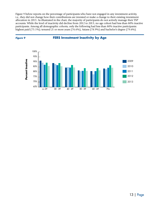Figure 9 below reports on the percentage of participants who have not engaged in any investment activity, i.e., they did not change how their contributions are invested or make a change to their existing investment allocation in 2013. As illustrated in the chart, the majority of participants do not actively manage their TSP accounts. While the level of inactivity did decline from 2012 to 2013, no age cohort had less than 80% inactive participants. Among all demographic cohorts, only the following had less than 80% inactive participants: highest paid (75.1%); tenured 21 or more years (76.6%), Asians (78.9%) and bachelor's degree (79.6%).

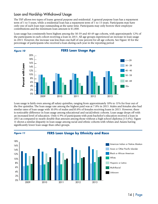#### Loan and Hardship Withdrawal Usage

The TSP allows two types of loans: general purpose and residential. A general purpose loan has a repayment term of 1 to 5 years, while a residential loan has a repayment term of 1 to 15 years. Participants may have only one of each loan type outstanding at the same time. Participants may only borrow their employee contributions and the minimum loan amount is \$1,000.

Loan usage has consistently been highest among the 30-39 and 40-49 age cohorts, with approximately 12% of the participants in each cohort receiving a loan in 2013. All age groups experienced an increase in loan usage in 2013. However, the increase was less than one-half of one percent for all age cohorts. See Figure 10 for the percentage of participants who received a loan during each year in the reporting period



Loan usage is fairly even among all salary quintiles, ranging from approximately 10% to 11% for four out of the five quintiles. The loan usage rate among the highest paid was at 7.8% in 2013. Males and females also had similar rates of loan usage with 10.0% of males and10.8% of females receiving loans in 2013. However, there is noticeable difference in loan usage among educational and racial/ethnic cohorts. Loan usage drops off with an increased level of education. Only 6.9% of participants with post-bachelor's education received a loan in 2013 as compared to nearly double that amount among those without a high school diploma (13.6%). Figure 11 shows a similar disparity in loan usage among racial and ethnic cohorts with whites and Asians having significantly lower loan usage than other groups.

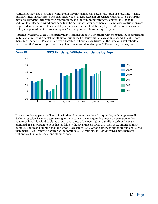Participants may take a hardship withdrawal if they have a financial need as the result of a recurring negative cash flow, medical expenses, a personal casualty loss, or legal expenses associated with a divorce. Participants may only withdraw their employee contributions, and the minimum withdrawal amount is \$1,000. In addition to a 10% early withdrawal penalty if the participant is younger than 59½, employee contributions are suspended for six months after a hardship withdrawal. As a result of the employee contribution suspension, FERS participants do not receive any Agency Matching Contributions during this period.

Hardship withdrawal usage is consistently highest among the age 40-49 cohort, with more than 4% of participants in this cohort receiving a hardship withdrawal during the first four years in this reporting period. In 2013, more than 5% of the age 40- 49 cohort received a hardship withdrawal. See Figure 12. The three youngest cohorts, as well as the 50-59 cohort, experienced a slight increase in withdrawal usage in 2013 over the previous year.



There is a stair-step pattern of hardship withdrawal usage among the salary quintiles, with usage generally declining as salary levels increase. See Figure 13. However, the first quintile presents an exception to this pattern, as hardship withdrawals were lower than those of the next highest quintile in each of the years examined. It is important to note that hardship withdrawal usage is lower than loan usage among all salary quintiles. The second quintile had the highest usage rate at 6.2%. Among other cohorts, more females (5.0%) than males (3.2%) received hardship withdrawals in 2013, while blacks (8.1%) received more hardship withdrawals than other racial and ethnic cohorts.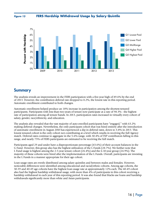*Figure 13*

**FERS Hardship Withdrawal Usage by Salary Quintile**



#### Summary

The analysis reveals an improvement in the FERS participation with a five-year high of 89.6% by the end of 2013. However, the contribution deferral rate dropped to 8.2%, the lowest rate in this reporting period. Automatic enrollment contributed to both changes.

Automatic enrollment helped produce an 18% increase in participation among the shortest-tenured participants. Participants with less than two-years of tenure now participate at a rate of 98.3% - the highest rate of participation among all tenure bands. In 2013, participation rates increased in virtually every cohort of salary, gender, race/ethnicity, and education.

The analysis also revealed that the vast majority of auto-enrolled participants have "engaged," with 63.2% making deferral changes. Nevertheless, the only participant cohort that was hired entirely after the introduction of automatic enrollment in August 2010 has experienced a dip in deferral rates, down to 3.8% in 2013. This lowest tenured cohort is the only cohort not contributing at a level which results in receiving the full Agency match. Deferral rates continue to aggregate in the 5-6% range, with 30.4% of TSP contributors falling in this range, and nearly 75% of FERS participants are estimated to be receiving the full match.

Participants aged 29 and under have a disproportionate percentage (43.6%) of their account balances in the G Fund. However, this group also has the highest utilization of the L Funds (28.7%). We further note that L Fund usage is highest among the 2-5-year tenure cohort (26.4%) and the 6-10-year group (24.9%). The majority of these cohorts were hired after the implementation of the L Funds. Overall, participants are investing in the L Funds in a manner appropriate for their age cohort.

Loan usage rates are evenly distributed among salary quintiles and between males and females. However, noticeable differences were identified among educational and racial/ethnic cohorts. Among age cohorts, the 30-39 and 40-49 age cohorts have the highest loan usage rate at approximately 12% each. The 40-49 cohort also had the highest hardship withdrawal usage, with more than 4% of participants in this cohort receiving a hardship withdrawal in each year of this reporting period. It was also found that blacks use loans and hardship withdrawals significantly more than white and Asian participants.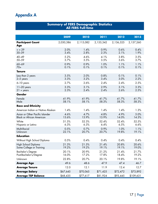### Appendix A

| <b>Summary of FERS Demographic Statistics</b><br><b>All FERS Full-time</b> |                |                |                |                |                |  |  |  |  |
|----------------------------------------------------------------------------|----------------|----------------|----------------|----------------|----------------|--|--|--|--|
|                                                                            |                |                |                |                |                |  |  |  |  |
|                                                                            | 2009           | 2010           | 2011           | 2012           | 2013           |  |  |  |  |
| <b>Participant Count</b><br>Age                                            | 2,030,386      | 2,115,082      | 2,155,342      | 2,136,325      | 2,157,260      |  |  |  |  |
| $= 29$<br>$30 - 39$                                                        | 2.0%<br>3.4%   | 1.4%<br>2.8%   | 0.9%<br>2.3%   | 0.6%<br>2.1%   | 0.4%<br>1.9%   |  |  |  |  |
| $40 - 49$<br>50-59                                                         | 5.2%<br>3.7%   | 4.6%<br>3.5%   | 4.1%<br>3.5%   | 3.8%<br>3.6%   | 3.5%<br>3.7%   |  |  |  |  |
| $60 - 69$<br>$70+$                                                         | 0.9%<br>0.1%   | 0.9%<br>0.1%   | 1.0%<br>0.1%   | 1.1%<br>0.1%   | 1.1%<br>0.1%   |  |  |  |  |
| <b>Tenure</b>                                                              |                |                |                |                |                |  |  |  |  |
| Less than 2 years<br>$2-5$ years                                           | 3.5%<br>3.3%   | 2.0%<br>3.2%   | 0.8%<br>3.4%   | 0.1%<br>3.0%   | 0.1%<br>2.2%   |  |  |  |  |
| 6-10 years                                                                 | 2.7%           | 2.6%           | 2.4%           | 2.4%           | 2.5%           |  |  |  |  |
| 11-20 years<br>$21 + years$                                                | 3.3%<br>2.3%   | 3.1%<br>2.4%   | 2.9%<br>2.4%   | 3.1%<br>2.6%   | 3.3%<br>2.5%   |  |  |  |  |
| Gender                                                                     |                |                |                |                |                |  |  |  |  |
| Female<br>Male                                                             | 41.9%<br>58.1% | 41.9%<br>58.1% | 41.7%<br>58.3% | 41.7%<br>58.3% | 41.7%<br>58.3% |  |  |  |  |
| <b>Race and Ethnicity</b>                                                  |                |                |                |                |                |  |  |  |  |
| American Indian or Native Alaskan                                          | 1.4%           | 1.4%           | 1.4%           | 1.4%           | 1.3%           |  |  |  |  |
| Asian or Other Pacific Islander<br><b>Black or African American</b>        | 4.6%<br>13.6%  | 4.7%<br>13.9%  | 4.8%<br>13.9%  | 4.9%<br>14.0%  | 5.0%<br>14.3%  |  |  |  |  |
| White<br>Hispanic or Latino                                                | 51.5%<br>6.3%  | 52.3%<br>6.3%  | 52.4%<br>6.4%  | 52.4%<br>6.5%  | 52.5%<br>6.6%  |  |  |  |  |
| Multi-Racial<br>Unknown                                                    | 0.5%<br>22.1%  | 0.7%<br>20.7%  | 0.9%<br>20.7%  | 1.0%<br>19.8%  | 1.1%<br>19.1%  |  |  |  |  |
| <b>Education</b>                                                           |                |                |                |                |                |  |  |  |  |
| Without High School Diploma                                                | 0.5%           | 0.4%           | 0.4%           | 0.4%           | 0.4%           |  |  |  |  |
| High School Diploma<br>Some College or Training                            | 21.3%<br>19.2% | 21.5%<br>19.2% | 21.4%<br>19.1% | 20.8%<br>19.1% | 20.6%<br>19.0% |  |  |  |  |
| <b>Bachelor's Degree</b><br>Post-Bachelor's/Degree                         | 20.1%<br>16.0% | 20.9%<br>17.2% | 21.2%<br>17.8% | 21.4%<br>18.4% | 21.7%<br>19.2% |  |  |  |  |
| Unknown                                                                    | 22.8%          | 20.7%          | 20.1%          | 19.8%          | 19.1%          |  |  |  |  |
| <b>Average Age</b>                                                         | 49.6           | 48.6           | 47.9           | 47.4           | 46.7           |  |  |  |  |
| <b>Average Tenure</b>                                                      | 12.0           | 12.1           | 11.9           | 12.4           | 12.7           |  |  |  |  |
| <b>Average Salary</b>                                                      | \$67,645       | \$70,065       | \$71,425       | \$72,472       | \$73,892       |  |  |  |  |
| <b>Average TSP Balance</b>                                                 | \$68,435       | \$77,617       | \$81,924       | \$93,445       | \$109,631      |  |  |  |  |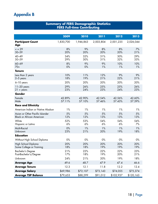## Appendix B

| <b>Summary of FERS Demographic Statistics</b> |  |
|-----------------------------------------------|--|
| <b>FERS Full-time Contributing</b>            |  |

|                                                                     | 2009             | 2010             | 2011             | 2012             | 2013             |
|---------------------------------------------------------------------|------------------|------------------|------------------|------------------|------------------|
| <b>Participant Count</b><br><b>Age</b>                              | 1,830,700        | 1,946,863        | 2,003,804        | 2,001,235        | 2,026,044        |
| $= 29$<br>$30 - 39$                                                 | 8%<br>20%        | 9%<br>20%        | 8%<br>20%        | 8%<br>20%        | 7%<br>21%        |
| $40 - 49$<br>50-59                                                  | 34%<br>29%       | 32%<br>30%       | 31%<br>31%       | 30%<br>32%       | 29%<br>33%       |
| $60 - 69$<br>$70+$                                                  | 8%<br>$0\%$      | 9%<br>$0\%$      | 9%<br>1%         | 10%<br>1%        | 10%<br>1%        |
| <b>Tenure</b>                                                       |                  |                  |                  |                  |                  |
| Less than 2 years<br>$2-5$ years                                    | 10%<br>18%       | 11%<br>19%       | 12%<br>21%       | 9%<br>22%        | 9%<br>21%        |
| 6-10 years                                                          | 20%              | 20%              | 20%              | 20%              | 20%              |
| $11-20$ years<br>$21 + years$                                       | 29%<br>23%       | 26%<br>24%       | 25%<br>23%       | 25%<br>24%       | 26%<br>23%       |
| Gender                                                              |                  |                  |                  |                  |                  |
| Female<br>Male                                                      | 42.89%<br>57.11% | 42.90%<br>57.10% | 42.54%<br>57.46% | 42.56%<br>57.43% | 42.60%<br>57.39% |
| <b>Race and Ethnicity</b>                                           |                  |                  |                  |                  |                  |
| American Indian or Native Alaskan                                   | 1%               | 1%               | 1%               | 1%               | 1%               |
| Asian or Other Pacific Islander<br><b>Black or African American</b> | 5%<br>12%        | 5%<br>12%        | 5%<br>13%        | 5%<br>13%        | 5%<br>13%        |
| White<br>Hispanic or Latino                                         | 52%<br>6%        | 53%<br>6%        | 54%<br>6%        | 54%<br>6%        | 54%<br>7%        |
| Multi-Racial<br>Unknown                                             | 0%<br>23%        | 1%<br>21%        | 1%<br>20%        | 1%<br>19%        | 1%<br>18%        |
| <b>Education</b>                                                    |                  |                  |                  |                  |                  |
| Without High School Diploma                                         | $0\%$            | $0\%$            | $0\%$            | $0\%$            | $0\%$            |
| High School Diploma<br>Some College or Training                     | 20%<br>18%       | 20%<br>18%       | 20%<br>19%       | 20%<br>19%       | 20%<br>19%       |
| <b>Bachelor's Degree</b><br>Post-Bachelor's/Degree                  | 21%<br>17%       | 22%<br>18%       | 22%<br>19%       | 22%<br>20%       | 23%<br>21%       |
| Unknown                                                             | 24%              | 21%              | 20%              | 19%              | 18%              |
| <b>Average Age</b>                                                  | 49.6             | 48.7             | 47.9             | 47.4             | 46.6             |
| <b>Average Tenure</b>                                               | 12.3             | 12.1             | 11.8             | 12.2             | 12.4             |
| <b>Average Salary</b>                                               | \$69,986         | \$72,107         | \$73,143         | \$74,055         | \$75,374         |
| <b>Average TSP Balance</b>                                          | \$79,653         | \$88,299         | \$91,012         | \$102,937        | \$120,163        |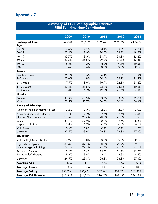### Appendix C

#### **Summary of FERS Demographic Statistics FERS Full-time Non-Contributing**

|                                                                     | 2009           | 2010<br>2011<br>2012 |                |                |                |
|---------------------------------------------------------------------|----------------|----------------------|----------------|----------------|----------------|
| <b>Participant Count</b><br><b>Age</b>                              | 354,728        | 323,529              | 279,948        | 259,894        | 249,699        |
| $= 29$<br>30-39                                                     | 14.6%<br>22.4% | 12.1%<br>21.6%       | 8.1%<br>20.0%  | 5.8%<br>18.7%  | 4.5%<br>18.3%  |
| $40 - 49$<br>50-59                                                  | 32.7%<br>23.5% | 33.0%<br>25.5%       | 33.9%<br>29.0% | 33.3%<br>31.8% | 32.2%<br>33.6% |
| $60 - 69$<br>$70+$                                                  | 6.3%<br>0.5%   | 7.2%<br>0.6%         | 8.3%<br>0.7%   | 9.6%<br>0.8%   | 10.5%<br>0.9%  |
| <b>Tenure</b>                                                       |                |                      |                |                |                |
| Less than 2 years<br>$2-5$ years                                    | 25.2%<br>23.6% | 16.6%<br>26.8%       | 6.9%<br>30.4%  | 1.4%<br>28.1%  | 1.4%<br>21.9%  |
| 6-10 years                                                          | 17.5%          | 18.9%                | 19.9%          | 22.1%          | 24.2%          |
| $11-20$ years<br>$21 + years$                                       | 20.3%<br>13.3% | 21.8%<br>15.9%       | 23.9%<br>19.0% | 26.8%<br>21.6% | 30.2%<br>22.3% |
| Gender                                                              |                |                      |                |                |                |
| Female<br>Male                                                      | 44.5%<br>55.5% | 44.3%<br>55.7%       | 43.3%<br>56.7% | 43.4%<br>56.6% | 43.6%<br>56.4% |
| <b>Race and Ethnicity</b>                                           |                |                      |                |                |                |
| American Indian or Native Alaskan                                   | 2.2%           | 2.0%                 | 2.0%           | 2.0%           | 2.0%           |
| Asian or Other Pacific Islander<br><b>Black or African American</b> | 3.1%<br>20.5%  | 2.9%<br>20.7%        | 2.7%<br>20.7%  | 2.5%<br>21.3%  | 2.5%<br>21.9%  |
| White<br>Hispanic or Latino                                         | 44.1%<br>6.8%  | 42.9%<br>6.9%        | 40.3%<br>6.6%  | 38.6%<br>6.5%  | 38.4%<br>6.8%  |
| Multi-Racial<br>Unknown                                             | 0.8%<br>22.5%  | 0.9%<br>23.6%        | 0.9%<br>26.8%  | 0.9%<br>28.3%  | 1.0%<br>27.4%  |
| <b>Education</b>                                                    |                |                      |                |                |                |
| Without High School Diploma                                         | 0.9%           | 0.8%                 | 0.8%           | 0.8%           | 0.8%           |
| High School Diploma<br>Some College or Training                     | 31.4%<br>22.1% | 32.1%<br>22.1%       | 30.5%<br>21.6% | 29.2%<br>21.5% | 29.8%<br>21.6% |
| <b>Bachelor's Degree</b><br>Post-Bachelor's/Degree                  | 12.2%<br>8.9%  | 12.4%<br>8.8%        | 12.0%<br>8.4%  | 11.8%<br>8.3%  | 12.0%<br>8.3%  |
| Unknown                                                             | 24.5%          | 23.8%                | 26.8%          | 28.3%          | 27.4%          |
| <b>Average Age</b>                                                  | 47.5           | 47.4                 | 47.8           | 47.9           | 47.5           |
| <b>Average Tenure</b>                                               | 8.5            | 9.6                  | 10.8           | 12.2           | 13.0           |
| <b>Average Salary</b>                                               | \$53,996       | \$56,461             | \$59,248       | \$60,574       | \$61,394       |
| <b>Average TSP Balance</b>                                          | \$10,538       | \$13,333             | \$16,877       | \$20,355       | \$24,182       |